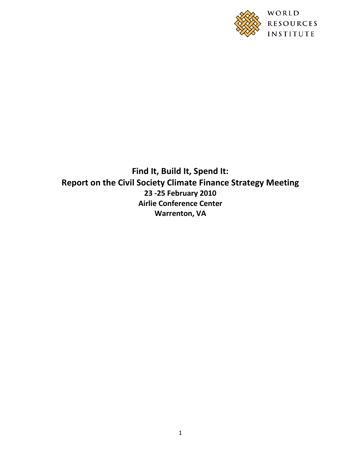

**Find It, Build It, Spend It: Report on the Civil Society Climate Finance Strategy Meeting 23 -25 February 2010 Airlie Conference Center Warrenton, VA**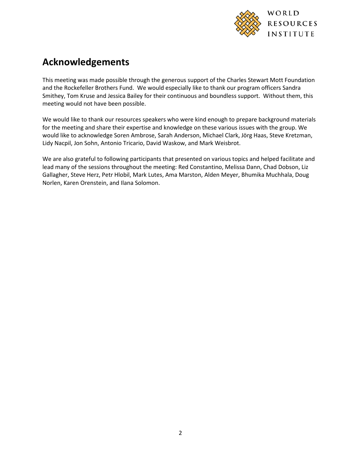

# **Acknowledgements**

This meeting was made possible through the generous support of the Charles Stewart Mott Foundation and the Rockefeller Brothers Fund. We would especially like to thank our program officers Sandra Smithey, Tom Kruse and Jessica Bailey for their continuous and boundless support. Without them, this meeting would not have been possible.

We would like to thank our resources speakers who were kind enough to prepare background materials for the meeting and share their expertise and knowledge on these various issues with the group. We would like to acknowledge Soren Ambrose, Sarah Anderson, Michael Clark, Jörg Haas, Steve Kretzman, Lidy Nacpil, Jon Sohn, Antonio Tricario, David Waskow, and Mark Weisbrot.

We are also grateful to following participants that presented on various topics and helped facilitate and lead many of the sessions throughout the meeting: Red Constantino, Melissa Dann, Chad Dobson, Liz Gallagher, Steve Herz, Petr Hlobil, Mark Lutes, Ama Marston, Alden Meyer, Bhumika Muchhala, Doug Norlen, Karen Orenstein, and Ilana Solomon.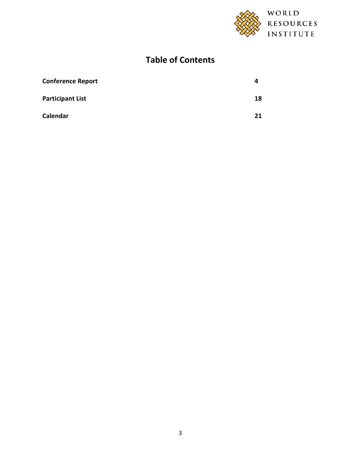

# **Table of Contents**

| <b>Conference Report</b> | 4  |
|--------------------------|----|
| <b>Participant List</b>  | 18 |
| Calendar                 | 21 |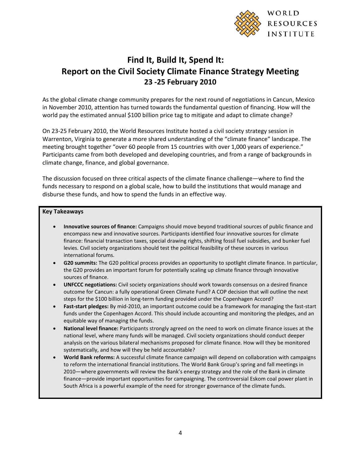

# **Find It, Build It, Spend It: Report on the Civil Society Climate Finance Strategy Meeting 23 -25 February 2010**

As the global climate change community prepares for the next round of negotiations in Cancun, Mexico in November 2010, attention has turned towards the fundamental question of financing. How will the world pay the estimated annual \$100 billion price tag to mitigate and adapt to climate change?

On 23-25 February 2010, the World Resources Institute hosted a civil society strategy session in Warrenton, Virginia to generate a more shared understanding of the "climate finance" landscape. The meeting brought together "over 60 people from 15 countries with over 1,000 years of experience." Participants came from both developed and developing countries, and from a range of backgrounds in climate change, finance, and global governance.

The discussion focused on three critical aspects of the climate finance challenge—where to find the funds necessary to respond on a global scale, how to build the institutions that would manage and disburse these funds, and how to spend the funds in an effective way.

#### **Key Takeaways**

- **Innovative sources of finance:** Campaigns should move beyond traditional sources of public finance and encompass new and innovative sources. Participants identified four innovative sources for climate finance: financial transaction taxes, special drawing rights, shifting fossil fuel subsidies, and bunker fuel levies. Civil society organizations should test the political feasibility of these sources in various international forums.
- **G20 summits:** The G20 political process provides an opportunity to spotlight climate finance. In particular, the G20 provides an important forum for potentially scaling up climate finance through innovative sources of finance.
- **UNFCCC negotiations:** Civil society organizations should work towards consensus on a desired finance outcome for Cancun: a fully operational Green Climate Fund? A COP decision that will outline the next steps for the \$100 billion in long-term funding provided under the Copenhagen Accord?
- **Fast-start pledges:** By mid-2010, an important outcome could be a framework for managing the fast-start funds under the Copenhagen Accord. This should include accounting and monitoring the pledges, and an equitable way of managing the funds.
- **National level finance:** Participants strongly agreed on the need to work on climate finance issues at the national level, where many funds will be managed. Civil society organizations should conduct deeper analysis on the various bilateral mechanisms proposed for climate finance. How will they be monitored systematically, and how will they be held accountable?
- **World Bank reforms:** A successful climate finance campaign will depend on collaboration with campaigns to reform the international financial institutions. The World Bank Group's spring and fall meetings in 2010—where governments will review the Bank's energy strategy and the role of the Bank in climate finance—provide important opportunities for campaigning. The controversial Eskom coal power plant in South Africa is a powerful example of the need for stronger governance of the climate funds.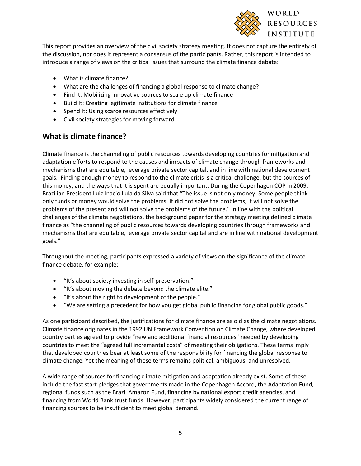

This report provides an overview of the civil society strategy meeting. It does not capture the entirety of the discussion, nor does it represent a consensus of the participants. Rather, this report is intended to introduce a range of views on the critical issues that surround the climate finance debate:

- What is climate finance?
- What are the challenges of financing a global response to climate change?
- Find It: Mobilizing innovative sources to scale up climate finance
- Build It: Creating legitimate institutions for climate finance
- Spend It: Using scarce resources effectively
- Civil society strategies for moving forward

## **What is climate finance?**

Climate finance is the channeling of public resources towards developing countries for mitigation and adaptation efforts to respond to the causes and impacts of climate change through frameworks and mechanisms that are equitable, leverage private sector capital, and in line with national development goals. Finding enough money to respond to the climate crisis is a critical challenge, but the sources of this money, and the ways that it is spent are equally important. During the Copenhagen COP in 2009, Brazilian President Luiz Inacio Lula da Silva said that "The issue is not only money. Some people think only funds or money would solve the problems. It did not solve the problems, it will not solve the problems of the present and will not solve the problems of the future." In line with the political challenges of the climate negotiations, the background paper for the strategy meeting defined climate finance as "the channeling of public resources towards developing countries through frameworks and mechanisms that are equitable, leverage private sector capital and are in line with national development goals."

Throughout the meeting, participants expressed a variety of views on the significance of the climate finance debate, for example:

- "It's about society investing in self-preservation."
- "It's about moving the debate beyond the climate elite."
- "It's about the right to development of the people."
- "We are setting a precedent for how you get global public financing for global public goods."

As one participant described, the justifications for climate finance are as old as the climate negotiations. Climate finance originates in the 1992 UN Framework Convention on Climate Change, where developed country parties agreed to provide "new and additional financial resources" needed by developing countries to meet the "agreed full incremental costs" of meeting their obligations. These terms imply that developed countries bear at least some of the responsibility for financing the global response to climate change. Yet the meaning of these terms remains political, ambiguous, and unresolved.

A wide range of sources for financing climate mitigation and adaptation already exist. Some of these include the fast start pledges that governments made in the Copenhagen Accord, the Adaptation Fund, regional funds such as the Brazil Amazon Fund, financing by national export credit agencies, and financing from World Bank trust funds. However, participants widely considered the current range of financing sources to be insufficient to meet global demand.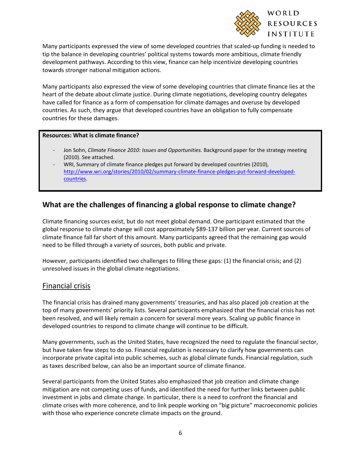

Many participants expressed the view of some developed countries that scaled-up funding is needed to tip the balance in developing countries' political systems towards more ambitious, climate friendly development pathways. According to this view, finance can help incentivize developing countries towards stronger national mitigation actions.

Many participants also expressed the view of some developing countries that climate finance lies at the heart of the debate about climate justice. During climate negotiations, developing country delegates have called for finance as a form of compensation for climate damages and overuse by developed countries. As such, they argue that developed countries have an obligation to fully compensate countries for these damages.

#### **Resources: What is climate finance?**

- Jon Sohn, *Climate Finance 2010: Issues and Opportunities*. Background paper for the strategy meeting (2010). See attached.
- WRI, Summary of climate finance pledges put forward by developed countries (2010), [http://www.wri.org/stories/2010/02/summary-climate-finance-pledges-put-forward-developed](http://www.wri.org/stories/2010/02/summary-climate-finance-pledges-put-forward-developed-countries)[countries.](http://www.wri.org/stories/2010/02/summary-climate-finance-pledges-put-forward-developed-countries)

### **What are the challenges of financing a global response to climate change?**

Climate financing sources exist, but do not meet global demand. One participant estimated that the global response to climate change will cost approximately \$89-137 billion per year. Current sources of climate finance fall far short of this amount. Many participants agreed that the remaining gap would need to be filled through a variety of sources, both public and private.

However, participants identified two challenges to filling these gaps: (1) the financial crisis; and (2) unresolved issues in the global climate negotiations.

#### Financial crisis

The financial crisis has drained many governments' treasuries, and has also placed job creation at the top of many governments' priority lists. Several participants emphasized that the financial crisis has not been resolved, and will likely remain a concern for several more years. Scaling up public finance in developed countries to respond to climate change will continue to be difficult.

Many governments, such as the United States, have recognized the need to regulate the financial sector, but have taken few steps to do so. Financial regulation is necessary to clarify how governments can incorporate private capital into public schemes, such as global climate funds. Financial regulation, such as taxes described below, can also be an important source of climate finance.

Several participants from the United States also emphasized that job creation and climate change mitigation are not competing uses of funds, and identified the need for further links between public investment in jobs and climate change. In particular, there is a need to confront the financial and climate crises with more coherence, and to link people working on "big picture" macroeconomic policies with those who experience concrete climate impacts on the ground.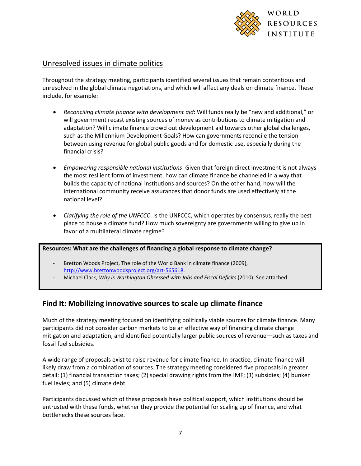

### Unresolved issues in climate politics

Throughout the strategy meeting, participants identified several issues that remain contentious and unresolved in the global climate negotiations, and which will affect any deals on climate finance. These include, for example:

- *Reconciling climate finance with development aid*: Will funds really be "new and additional," or will government recast existing sources of money as contributions to climate mitigation and adaptation? Will climate finance crowd out development aid towards other global challenges, such as the Millennium Development Goals? How can governments reconcile the tension between using revenue for global public goods and for domestic use, especially during the financial crisis?
- *Empowering responsible national institutions*: Given that foreign direct investment is not always the most resilient form of investment, how can climate finance be channeled in a way that builds the capacity of national institutions and sources? On the other hand, how will the international community receive assurances that donor funds are used effectively at the national level?
- *Clarifying the role of the UNFCCC*: Is the UNFCCC, which operates by consensus, really the best place to house a climate fund? How much sovereignty are governments willing to give up in favor of a multilateral climate regime?

#### **Resources: What are the challenges of financing a global response to climate change?**

- Bretton Woods Project, The role of the World Bank in climate finance (2009), [http://www.brettonwoodsproject.org/art-565618.](http://www.brettonwoodsproject.org/art-565618)
- Michael Clark, *Why is Washington Obsessed with Jobs and Fiscal Deficits* (2010). See attached.

### **Find It: Mobilizing innovative sources to scale up climate finance**

Much of the strategy meeting focused on identifying politically viable sources for climate finance. Many participants did not consider carbon markets to be an effective way of financing climate change mitigation and adaptation, and identified potentially larger public sources of revenue—such as taxes and fossil fuel subsidies.

A wide range of proposals exist to raise revenue for climate finance. In practice, climate finance will likely draw from a combination of sources. The strategy meeting considered five proposals in greater detail: (1) financial transaction taxes; (2) special drawing rights from the IMF; (3) subsidies; (4) bunker fuel levies; and (5) climate debt.

Participants discussed which of these proposals have political support, which institutions should be entrusted with these funds, whether they provide the potential for scaling up of finance, and what bottlenecks these sources face.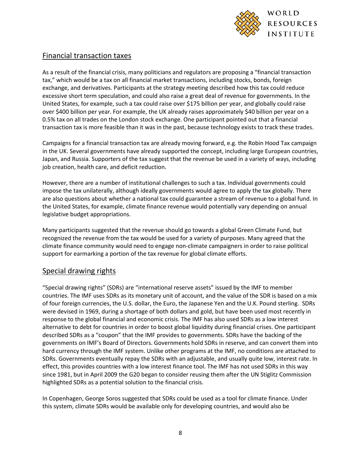

## Financial transaction taxes

As a result of the financial crisis, many politicians and regulators are proposing a "financial transaction tax," which would be a tax on all financial market transactions, including stocks, bonds, foreign exchange, and derivatives. Participants at the strategy meeting described how this tax could reduce excessive short term speculation, and could also raise a great deal of revenue for governments. In the United States, for example, such a tax could raise over \$175 billion per year, and globally could raise over \$400 billion per year. For example, the UK already raises approximately \$40 billion per year on a 0.5% tax on all trades on the London stock exchange. One participant pointed out that a financial transaction tax is more feasible than it was in the past, because technology exists to track these trades.

Campaigns for a financial transaction tax are already moving forward, e.g. the Robin Hood Tax campaign in the UK. Several governments have already supported the concept, including large European countries, Japan, and Russia. Supporters of the tax suggest that the revenue be used in a variety of ways, including job creation, health care, and deficit reduction.

However, there are a number of institutional challenges to such a tax. Individual governments could impose the tax unilaterally, although ideally governments would agree to apply the tax globally. There are also questions about whether a national tax could guarantee a stream of revenue to a global fund. In the United States, for example, climate finance revenue would potentially vary depending on annual legislative budget appropriations.

Many participants suggested that the revenue should go towards a global Green Climate Fund, but recognized the revenue from the tax would be used for a variety of purposes. Many agreed that the climate finance community would need to engage non-climate campaigners in order to raise political support for earmarking a portion of the tax revenue for global climate efforts.

### Special drawing rights

"Special drawing rights" (SDRs) are "international reserve assets" issued by the IMF to member countries. The IMF uses SDRs as its monetary unit of account, and the value of the SDR is based on a mix of four foreign currencies, the U.S. dollar, the Euro, the Japanese Yen and the U.K. Pound sterling. SDRs were devised in 1969, during a shortage of both dollars and gold, but have been used most recently in response to the global financial and economic crisis. The IMF has also used SDRs as a low interest alternative to debt for countries in order to boost global liquidity during financial crises. One participant described SDRs as a "coupon" that the IMF provides to governments. SDRs have the backing of the governments on IMF's Board of Directors. Governments hold SDRs in reserve, and can convert them into hard currency through the IMF system. Unlike other programs at the IMF, no conditions are attached to SDRs. Governments eventually repay the SDRs with an adjustable, and usually quite low, interest rate. In effect, this provides countries with a low interest finance tool. The IMF has not used SDRs in this way since 1981, but in April 2009 the G20 began to consider reusing them after the UN Stiglitz Commission highlighted SDRs as a potential solution to the financial crisis.

In Copenhagen, George Soros suggested that SDRs could be used as a tool for climate finance. Under this system, climate SDRs would be available only for developing countries, and would also be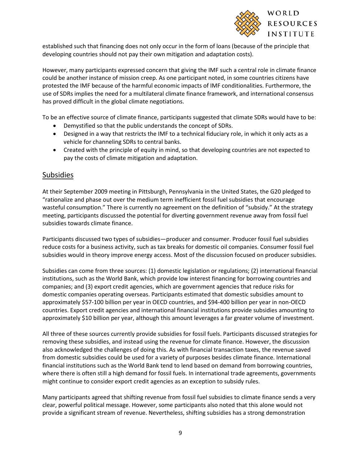

established such that financing does not only occur in the form of loans (because of the principle that developing countries should not pay their own mitigation and adaptation costs).

However, many participants expressed concern that giving the IMF such a central role in climate finance could be another instance of mission creep. As one participant noted, in some countries citizens have protested the IMF because of the harmful economic impacts of IMF conditionalities. Furthermore, the use of SDRs implies the need for a multilateral climate finance framework, and international consensus has proved difficult in the global climate negotiations.

To be an effective source of climate finance, participants suggested that climate SDRs would have to be:

- Demystified so that the public understands the concept of SDRs.
- Designed in a way that restricts the IMF to a technical fiduciary role, in which it only acts as a vehicle for channeling SDRs to central banks.
- Created with the principle of equity in mind, so that developing countries are not expected to pay the costs of climate mitigation and adaptation.

### Subsidies

At their September 2009 meeting in Pittsburgh, Pennsylvania in the United States, the G20 pledged to "rationalize and phase out over the medium term inefficient fossil fuel subsidies that encourage wasteful consumption." There is currently no agreement on the definition of "subsidy." At the strategy meeting, participants discussed the potential for diverting government revenue away from fossil fuel subsidies towards climate finance.

Participants discussed two types of subsidies—producer and consumer. Producer fossil fuel subsidies reduce costs for a business activity, such as tax breaks for domestic oil companies. Consumer fossil fuel subsidies would in theory improve energy access. Most of the discussion focused on producer subsidies.

Subsidies can come from three sources: (1) domestic legislation or regulations; (2) international financial institutions, such as the World Bank, which provide low interest financing for borrowing countries and companies; and (3) export credit agencies, which are government agencies that reduce risks for domestic companies operating overseas. Participants estimated that domestic subsidies amount to approximately \$57-100 billion per year in OECD countries, and \$94-400 billion per year in non-OECD countries. Export credit agencies and international financial institutions provide subsidies amounting to approximately \$10 billion per year, although this amount leverages a far greater volume of investment.

All three of these sources currently provide subsidies for fossil fuels. Participants discussed strategies for removing these subsidies, and instead using the revenue for climate finance. However, the discussion also acknowledged the challenges of doing this. As with financial transaction taxes, the revenue saved from domestic subsidies could be used for a variety of purposes besides climate finance. International financial institutions such as the World Bank tend to lend based on demand from borrowing countries, where there is often still a high demand for fossil fuels. In international trade agreements, governments might continue to consider export credit agencies as an exception to subsidy rules.

Many participants agreed that shifting revenue from fossil fuel subsidies to climate finance sends a very clear, powerful political message. However, some participants also noted that this alone would not provide a significant stream of revenue. Nevertheless, shifting subsidies has a strong demonstration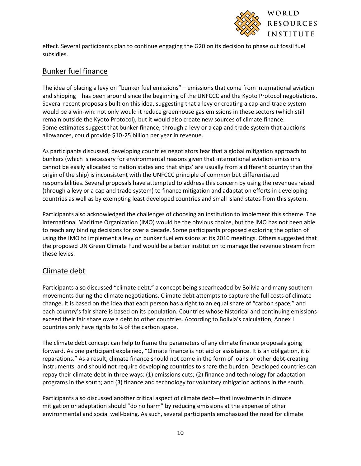

effect. Several participants plan to continue engaging the G20 on its decision to phase out fossil fuel subsidies.

### Bunker fuel finance

The idea of placing a levy on "bunker fuel emissions" – emissions that come from international aviation and shipping—has been around since the beginning of the UNFCCC and the Kyoto Protocol negotiations. Several recent proposals built on this idea, suggesting that a levy or creating a cap-and-trade system would be a win-win: not only would it reduce greenhouse gas emissions in these sectors (which still remain outside the Kyoto Protocol), but it would also create new sources of climate finance. Some estimates suggest that bunker finance, through a levy or a cap and trade system that auctions allowances, could provide \$10-25 billion per year in revenue.

As participants discussed, developing countries negotiators fear that a global mitigation approach to bunkers (which is necessary for environmental reasons given that international aviation emissions cannot be easily allocated to nation states and that ships' are usually from a different country than the origin of the ship) is inconsistent with the UNFCCC principle of common but differentiated responsibilities. Several proposals have attempted to address this concern by using the revenues raised (through a levy or a cap and trade system) to finance mitigation and adaptation efforts in developing countries as well as by exempting least developed countries and small island states from this system.

Participants also acknowledged the challenges of choosing an institution to implement this scheme. The International Maritime Organization (IMO) would be the obvious choice, but the IMO has not been able to reach any binding decisions for over a decade. Some participants proposed exploring the option of using the IMO to implement a levy on bunker fuel emissions at its 2010 meetings. Others suggested that the proposed UN Green Climate Fund would be a better institution to manage the revenue stream from these levies.

# Climate debt

Participants also discussed "climate debt," a concept being spearheaded by Bolivia and many southern movements during the climate negotiations. Climate debt attempts to capture the full costs of climate change. It is based on the idea that each person has a right to an equal share of "carbon space," and each country's fair share is based on its population. Countries whose historical and continuing emissions exceed their fair share owe a debt to other countries. According to Bolivia's calculation, Annex I countries only have rights to ¼ of the carbon space.

The climate debt concept can help to frame the parameters of any climate finance proposals going forward. As one participant explained, "Climate finance is not aid or assistance. It is an obligation, it is reparations." As a result, climate finance should not come in the form of loans or other debt-creating instruments, and should not require developing countries to share the burden. Developed countries can repay their climate debt in three ways: (1) emissions cuts; (2) finance and technology for adaptation programs in the south; and (3) finance and technology for voluntary mitigation actions in the south.

Participants also discussed another critical aspect of climate debt—that investments in climate mitigation or adaptation should "do no harm" by reducing emissions at the expense of other environmental and social well-being. As such, several participants emphasized the need for climate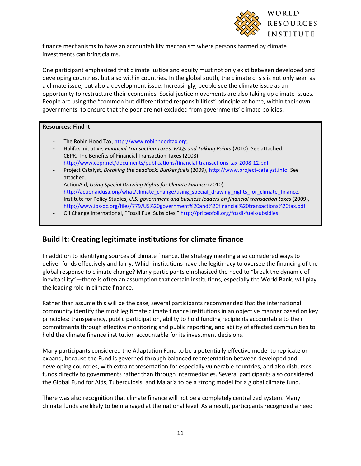

finance mechanisms to have an accountability mechanism where persons harmed by climate investments can bring claims.

One participant emphasized that climate justice and equity must not only exist between developed and developing countries, but also within countries. In the global south, the climate crisis is not only seen as a climate issue, but also a development issue. Increasingly, people see the climate issue as an opportunity to restructure their economies. Social justice movements are also taking up climate issues. People are using the "common but differentiated responsibilities" principle at home, within their own governments, to ensure that the poor are not excluded from governments' climate policies.

#### **Resources: Find It**

- The Robin Hood Tax, [http://www.robinhoodtax.org.](http://www.robinhoodtax.org/)
- Halifax Initiative, *Financial Transaction Taxes: FAQs and Talking Points* (2010). See attached. - CEPR, The Benefits of Financial Transaction Taxes (2008),
- <http://www.cepr.net/documents/publications/financial-transactions-tax-2008-12.pdf>
- Project Catalyst, *Breaking the deadlock: Bunker fuels* (2009)[, http://www.project-catalyst.info.](http://www.project-catalyst.info/) See attached.
- ActionAid, *Using Special Drawing Rights for Climate Finance* (2010), [http://actionaidusa.org/what/climate\\_change/using\\_special\\_drawing\\_rights\\_for\\_climate\\_finance.](http://actionaidusa.org/what/climate_change/using_special_drawing_rights_for_climate_finance)
- Institute for Policy Studies, *U.S. government and business leaders on financial transaction taxes* (2009), <http://www.ips-dc.org/files/779/US%20government%20and%20financial%20transactions%20tax.pdf>
- Oil Change International, "Fossil Fuel Subsidies,[" http://priceofoil.org/fossil-fuel-subsidies.](http://priceofoil.org/fossil-fuel-subsidies)

### **Build It: Creating legitimate institutions for climate finance**

In addition to identifying sources of climate finance, the strategy meeting also considered ways to deliver funds effectively and fairly. Which institutions have the legitimacy to oversee the financing of the global response to climate change? Many participants emphasized the need to "break the dynamic of inevitability"—there is often an assumption that certain institutions, especially the World Bank, will play the leading role in climate finance.

Rather than assume this will be the case, several participants recommended that the international community identify the most legitimate climate finance institutions in an objective manner based on key principles: transparency, public participation, ability to hold funding recipients accountable to their commitments through effective monitoring and public reporting, and ability of affected communities to hold the climate finance institution accountable for its investment decisions.

Many participants considered the Adaptation Fund to be a potentially effective model to replicate or expand, because the Fund is governed through balanced representation between developed and developing countries, with extra representation for especially vulnerable countries, and also disburses funds directly to governments rather than through intermediaries. Several participants also considered the Global Fund for Aids, Tuberculosis, and Malaria to be a strong model for a global climate fund.

There was also recognition that climate finance will not be a completely centralized system. Many climate funds are likely to be managed at the national level. As a result, participants recognized a need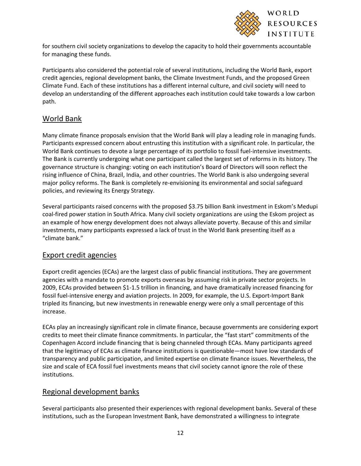

for southern civil society organizations to develop the capacity to hold their governments accountable for managing these funds.

Participants also considered the potential role of several institutions, including the World Bank, export credit agencies, regional development banks, the Climate Investment Funds, and the proposed Green Climate Fund. Each of these institutions has a different internal culture, and civil society will need to develop an understanding of the different approaches each institution could take towards a low carbon path.

# World Bank

Many climate finance proposals envision that the World Bank will play a leading role in managing funds. Participants expressed concern about entrusting this institution with a significant role. In particular, the World Bank continues to devote a large percentage of its portfolio to fossil fuel-intensive investments. The Bank is currently undergoing what one participant called the largest set of reforms in its history. The governance structure is changing: voting on each institution's Board of Directors will soon reflect the rising influence of China, Brazil, India, and other countries. The World Bank is also undergoing several major policy reforms. The Bank is completely re-envisioning its environmental and social safeguard policies, and reviewing its Energy Strategy.

Several participants raised concerns with the proposed \$3.75 billion Bank investment in Eskom's Medupi coal-fired power station in South Africa. Many civil society organizations are using the Eskom project as an example of how energy development does not always alleviate poverty. Because of this and similar investments, many participants expressed a lack of trust in the World Bank presenting itself as a "climate bank."

### Export credit agencies

Export credit agencies (ECAs) are the largest class of public financial institutions. They are government agencies with a mandate to promote exports overseas by assuming risk in private sector projects. In 2009, ECAs provided between \$1-1.5 trillion in financing, and have dramatically increased financing for fossil fuel-intensive energy and aviation projects. In 2009, for example, the U.S. Export-Import Bank tripled its financing, but new investments in renewable energy were only a small percentage of this increase.

ECAs play an increasingly significant role in climate finance, because governments are considering export credits to meet their climate finance commitments. In particular, the "fast start" commitments of the Copenhagen Accord include financing that is being channeled through ECAs. Many participants agreed that the legitimacy of ECAs as climate finance institutions is questionable—most have low standards of transparency and public participation, and limited expertise on climate finance issues. Nevertheless, the size and scale of ECA fossil fuel investments means that civil society cannot ignore the role of these institutions.

### Regional development banks

Several participants also presented their experiences with regional development banks. Several of these institutions, such as the European Investment Bank, have demonstrated a willingness to integrate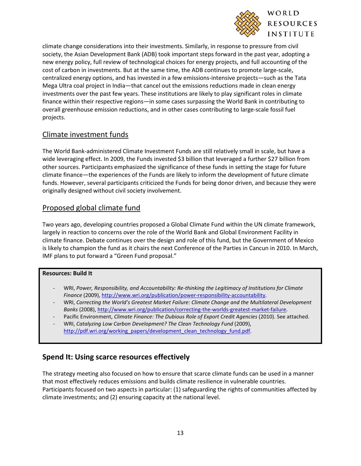

climate change considerations into their investments. Similarly, in response to pressure from civil society, the Asian Development Bank (ADB) took important steps forward in the past year, adopting a new energy policy, full review of technological choices for energy projects, and full accounting of the cost of carbon in investments. But at the same time, the ADB continues to promote large-scale, centralized energy options, and has invested in a few emissions-intensive projects—such as the Tata Mega Ultra coal project in India—that cancel out the emissions reductions made in clean energy investments over the past few years. These institutions are likely to play significant roles in climate finance within their respective regions—in some cases surpassing the World Bank in contributing to overall greenhouse emission reductions, and in other cases contributing to large-scale fossil fuel projects.

## Climate investment funds

The World Bank-administered Climate Investment Funds are still relatively small in scale, but have a wide leveraging effect. In 2009, the Funds invested \$3 billion that leveraged a further \$27 billion from other sources. Participants emphasized the significance of these funds in setting the stage for future climate finance—the experiences of the Funds are likely to inform the development of future climate funds. However, several participants criticized the Funds for being donor driven, and because they were originally designed without civil society involvement.

# Proposed global climate fund

Two years ago, developing countries proposed a Global Climate Fund within the UN climate framework, largely in reaction to concerns over the role of the World Bank and Global Environment Facility in climate finance. Debate continues over the design and role of this fund, but the Government of Mexico is likely to champion the fund as it chairs the next Conference of the Parties in Cancun in 2010. In March, IMF plans to put forward a "Green Fund proposal."

#### **Resources: Build It**

- WRI, *Power, Responsibility, and Accountability: Re-thinking the Legitimacy of Institutions for Climate Finance* (2009), [http://www.wri.org/publication/power-responsibility-accountability.](http://www.wri.org/publication/power-responsibility-accountability)
- WRI, *Correcting the World's Greatest Market Failure: Climate Change and the Multilateral Development Banks* (2008)[, http://www.wri.org/publication/correcting-the-worlds-greatest-market-failure.](http://www.wri.org/publication/correcting-the-worlds-greatest-market-failure)
- Pacific Environment, *Climate Finance: The Dubious Role of Export Credit Agencies* (2010). See attached.
- WRI, *Catalyzing Low Carbon Development? The Clean Technology Fund* (2009), [http://pdf.wri.org/working\\_papers/development\\_clean\\_technology\\_fund.pdf.](http://pdf.wri.org/working_papers/development_clean_technology_fund.pdf)

# **Spend It: Using scarce resources effectively**

The strategy meeting also focused on how to ensure that scarce climate funds can be used in a manner that most effectively reduces emissions and builds climate resilience in vulnerable countries. Participants focused on two aspects in particular: (1) safeguarding the rights of communities affected by climate investments; and (2) ensuring capacity at the national level.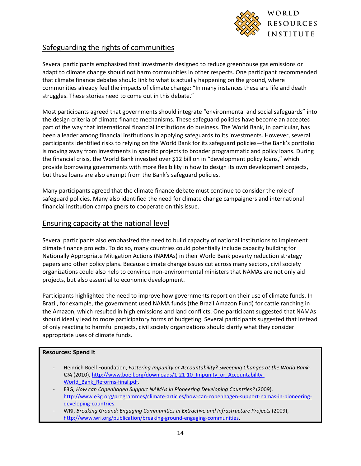

### Safeguarding the rights of communities

Several participants emphasized that investments designed to reduce greenhouse gas emissions or adapt to climate change should not harm communities in other respects. One participant recommended that climate finance debates should link to what is actually happening on the ground, where communities already feel the impacts of climate change: "In many instances these are life and death struggles. These stories need to come out in this debate."

Most participants agreed that governments should integrate "environmental and social safeguards" into the design criteria of climate finance mechanisms. These safeguard policies have become an accepted part of the way that international financial institutions do business. The World Bank, in particular, has been a leader among financial institutions in applying safeguards to its investments. However, several participants identified risks to relying on the World Bank for its safeguard policies—the Bank's portfolio is moving away from investments in specific projects to broader programmatic and policy loans. During the financial crisis, the World Bank invested over \$12 billion in "development policy loans," which provide borrowing governments with more flexibility in how to design its own development projects, but these loans are also exempt from the Bank's safeguard policies.

Many participants agreed that the climate finance debate must continue to consider the role of safeguard policies. Many also identified the need for climate change campaigners and international financial institution campaigners to cooperate on this issue.

#### Ensuring capacity at the national level

Several participants also emphasized the need to build capacity of national institutions to implement climate finance projects. To do so, many countries could potentially include capacity building for Nationally Appropriate Mitigation Actions (NAMAs) in their World Bank poverty reduction strategy papers and other policy plans. Because climate change issues cut across many sectors, civil society organizations could also help to convince non-environmental ministers that NAMAs are not only aid projects, but also essential to economic development.

Participants highlighted the need to improve how governments report on their use of climate funds. In Brazil, for example, the government used NAMA funds (the Brazil Amazon Fund) for cattle ranching in the Amazon, which resulted in high emissions and land conflicts. One participant suggested that NAMAs should ideally lead to more participatory forms of budgeting. Several participants suggested that instead of only reacting to harmful projects, civil society organizations should clarify what they consider appropriate uses of climate funds.

#### **Resources: Spend It**

- Heinrich Boell Foundation, *Fostering Impunity or Accountability? Sweeping Changes at the World Bank-IDA* (2010), [http://www.boell.org/downloads/1-21-10\\_Impunity\\_or\\_Accountability-](http://www.boell.org/downloads/1-21-10_Impunity_or_Accountability-World_Bank_Reforms-final.pdf)World Bank Reforms-final.pdf.
- E3G, *How can Copenhagen Support NAMAs in Pioneering Developing Countries?* (2009), [http://www.e3g.org/programmes/climate-articles/how-can-copenhagen-support-namas-in-pioneering](http://www.e3g.org/programmes/climate-articles/how-can-copenhagen-support-namas-in-pioneering-developing-countries)[developing-countries.](http://www.e3g.org/programmes/climate-articles/how-can-copenhagen-support-namas-in-pioneering-developing-countries)
- WRI, *Breaking Ground: Engaging Communities in Extractive and Infrastructure Projects* (2009), [http://www.wri.org/publication/breaking-ground-engaging-communities.](http://www.wri.org/publication/breaking-ground-engaging-communities)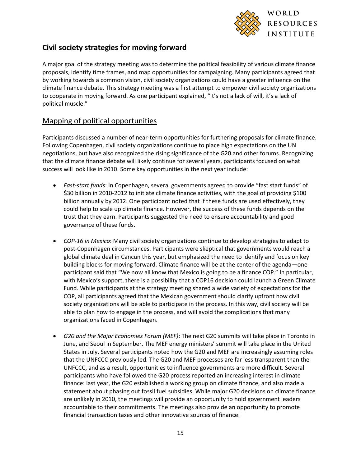

# **Civil society strategies for moving forward**

A major goal of the strategy meeting was to determine the political feasibility of various climate finance proposals, identify time frames, and map opportunities for campaigning. Many participants agreed that by working towards a common vision, civil society organizations could have a greater influence on the climate finance debate. This strategy meeting was a first attempt to empower civil society organizations to cooperate in moving forward. As one participant explained, "It's not a lack of will, it's a lack of political muscle."

### Mapping of political opportunities

Participants discussed a number of near-term opportunities for furthering proposals for climate finance. Following Copenhagen, civil society organizations continue to place high expectations on the UN negotiations, but have also recognized the rising significance of the G20 and other forums. Recognizing that the climate finance debate will likely continue for several years, participants focused on what success will look like in 2010. Some key opportunities in the next year include:

- *Fast-start funds*: In Copenhagen, several governments agreed to provide "fast start funds" of \$30 billion in 2010-2012 to initiate climate finance activities, with the goal of providing \$100 billion annually by 2012. One participant noted that if these funds are used effectively, they could help to scale up climate finance. However, the success of these funds depends on the trust that they earn. Participants suggested the need to ensure accountability and good governance of these funds.
- *COP-16 in Mexico*: Many civil society organizations continue to develop strategies to adapt to post-Copenhagen circumstances. Participants were skeptical that governments would reach a global climate deal in Cancun this year, but emphasized the need to identify and focus on key building blocks for moving forward. Climate finance will be at the center of the agenda—one participant said that "We now all know that Mexico is going to be a finance COP." In particular, with Mexico's support, there is a possibility that a COP16 decision could launch a Green Climate Fund. While participants at the strategy meeting shared a wide variety of expectations for the COP, all participants agreed that the Mexican government should clarify upfront how civil society organizations will be able to participate in the process. In this way, civil society will be able to plan how to engage in the process, and will avoid the complications that many organizations faced in Copenhagen.
- *G20 and the Major Economies Forum (MEF)*: The next G20 summits will take place in Toronto in June, and Seoul in September. The MEF energy ministers' summit will take place in the United States in July. Several participants noted how the G20 and MEF are increasingly assuming roles that the UNFCCC previously led. The G20 and MEF processes are far less transparent than the UNFCCC, and as a result, opportunities to influence governments are more difficult. Several participants who have followed the G20 process reported an increasing interest in climate finance: last year, the G20 established a working group on climate finance, and also made a statement about phasing out fossil fuel subsidies. While major G20 decisions on climate finance are unlikely in 2010, the meetings will provide an opportunity to hold government leaders accountable to their commitments. The meetings also provide an opportunity to promote financial transaction taxes and other innovative sources of finance.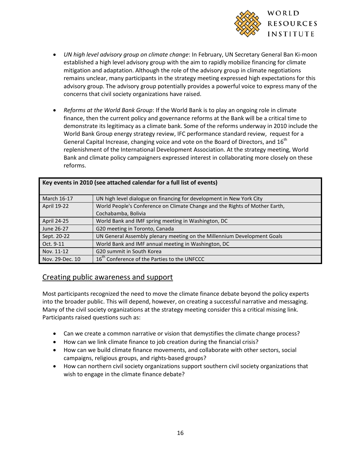

- *UN high level advisory group on climate change*: In February, UN Secretary General Ban Ki-moon established a high level advisory group with the aim to rapidly mobilize financing for climate mitigation and adaptation. Although the role of the advisory group in climate negotiations remains unclear, many participants in the strategy meeting expressed high expectations for this advisory group. The advisory group potentially provides a powerful voice to express many of the concerns that civil society organizations have raised.
- *Reforms at the World Bank Group*: If the World Bank is to play an ongoing role in climate finance, then the current policy and governance reforms at the Bank will be a critical time to demonstrate its legitimacy as a climate bank. Some of the reforms underway in 2010 include the World Bank Group energy strategy review, IFC performance standard review, request for a General Capital Increase, changing voice and vote on the Board of Directors, and 16<sup>th</sup> replenishment of the International Development Association. At the strategy meeting, World Bank and climate policy campaigners expressed interest in collaborating more closely on these reforms.

| Key events in 2010 (see attached calendar for a full list of events) |                                                                             |  |
|----------------------------------------------------------------------|-----------------------------------------------------------------------------|--|
| March 16-17                                                          | UN high level dialogue on financing for development in New York City        |  |
| April 19-22                                                          | World People's Conference on Climate Change and the Rights of Mother Earth, |  |
|                                                                      | Cochabamba, Bolivia                                                         |  |
| <b>April 24-25</b>                                                   | World Bank and IMF spring meeting in Washington, DC                         |  |
| June 26-27                                                           | G20 meeting in Toronto, Canada                                              |  |
| Sept. 20-22                                                          | UN General Assembly plenary meeting on the Millennium Development Goals     |  |
| Oct. 9-11                                                            | World Bank and IMF annual meeting in Washington, DC                         |  |
| Nov. 11-12                                                           | G20 summit in South Korea                                                   |  |
| Nov. 29-Dec. 10                                                      | 16 <sup>th</sup> Conference of the Parties to the UNFCCC                    |  |

#### Creating public awareness and support

Most participants recognized the need to move the climate finance debate beyond the policy experts into the broader public. This will depend, however, on creating a successful narrative and messaging. Many of the civil society organizations at the strategy meeting consider this a critical missing link. Participants raised questions such as:

- Can we create a common narrative or vision that demystifies the climate change process?
- How can we link climate finance to job creation during the financial crisis?
- How can we build climate finance movements, and collaborate with other sectors, social campaigns, religious groups, and rights-based groups?
- How can northern civil society organizations support southern civil society organizations that wish to engage in the climate finance debate?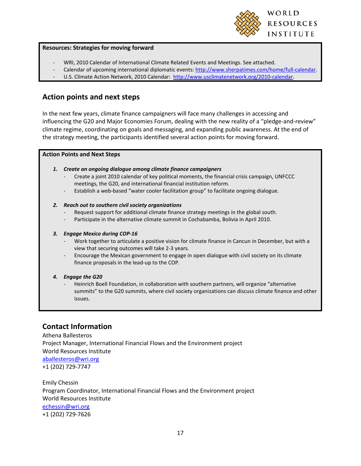

#### **Resources: Strategies for moving forward**

- WRI, 2010 Calendar of International Climate Related Events and Meetings. See attached.
- Calendar of upcoming international diplomatic events[: http://www.sherpatimes.com/home/full-calendar.](http://www.sherpatimes.com/home/full-calendar)
- U.S. Climate Action Network, 2010 Calendar: [http://www.usclimatenetwork.org/2010-calendar.](http://www.usclimatenetwork.org/2010-calendar)

### **Action points and next steps**

In the next few years, climate finance campaigners will face many challenges in accessing and influencing the G20 and Major Economies Forum, dealing with the new reality of a "pledge-and-review" climate regime, coordinating on goals and messaging, and expanding public awareness. At the end of the strategy meeting, the participants identified several action points for moving forward.

#### **Action Points and Next Steps**

- *1. Create an ongoing dialogue among climate finance campaigners*
	- Create a joint 2010 calendar of key political moments, the financial crisis campaign, UNFCCC meetings, the G20, and international financial institution reform.
	- Establish a web-based "water cooler facilitation group" to facilitate ongoing dialogue.

#### *2. Reach out to southern civil society organizations*

- Request support for additional climate finance strategy meetings in the global south.
- Participate in the alternative climate summit in Cochabamba, Bolivia in April 2010.

#### *3. Engage Mexico during COP-16*

- Work together to articulate a positive vision for climate finance in Cancun in December, but with a view that securing outcomes will take 2-3 years.
- Encourage the Mexican government to engage in open dialogue with civil society on its climate finance proposals in the lead-up to the COP.

#### *4. Engage the G20*

- Heinrich Boell Foundation, in collaboration with southern partners, will organize "alternative summits" to the G20 summits, where civil society organizations can discuss climate finance and other issues.

### **Contact Information**

Athena Ballesteros Project Manager, International Financial Flows and the Environment project World Resources Institute [aballesteros@wri.org](mailto:aballesteros@wri.org) +1 (202) 729-7747

Emily Chessin Program Coordinator, International Financial Flows and the Environment project World Resources Institute [echessin@wri.org](mailto:echessin@wri.org) +1 (202) 729-7626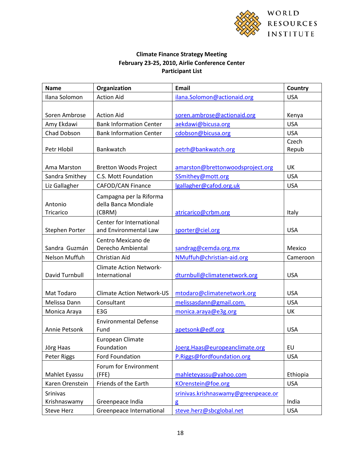

### **Climate Finance Strategy Meeting February 23-25, 2010, Airlie Conference Center Participant List**

| <b>Name</b>                     | Organization                                              | <b>Email</b>                        | Country        |
|---------------------------------|-----------------------------------------------------------|-------------------------------------|----------------|
| Ilana Solomon                   | <b>Action Aid</b>                                         | ilana.Solomon@actionaid.org         | <b>USA</b>     |
|                                 |                                                           |                                     |                |
| Soren Ambrose                   | <b>Action Aid</b>                                         | soren.ambrose@actionaid.org         | Kenya          |
| Amy Ekdawi                      | <b>Bank Information Center</b>                            | aekdawi@bicusa.org                  | <b>USA</b>     |
| Chad Dobson                     | <b>Bank Information Center</b>                            | cdobson@bicusa.org                  | <b>USA</b>     |
| Petr Hlobil                     | Bankwatch                                                 | petrh@bankwatch.org                 | Czech<br>Repub |
|                                 |                                                           |                                     |                |
| Ama Marston                     | <b>Bretton Woods Project</b>                              | amarston@brettonwoodsproject.org    | <b>UK</b>      |
| Sandra Smithey                  | C.S. Mott Foundation                                      | SSmithey@mott.org                   | <b>USA</b>     |
| Liz Gallagher                   | <b>CAFOD/CAN Finance</b>                                  | lgallagher@cafod.org.uk             | <b>USA</b>     |
| Antonio<br>Tricarico            | Campagna per la Riforma<br>della Banca Mondiale<br>(CBRM) | atricarico@crbm.org                 | Italy          |
|                                 | Center for International                                  |                                     |                |
| Stephen Porter                  | and Environmental Law                                     | sporter@ciel.org                    | <b>USA</b>     |
| Sandra Guzmán                   | Centro Mexicano de<br>Derecho Ambiental                   | sandrag@cemda.org.mx                | Mexico         |
| Nelson Muffuh                   | Christian Aid                                             | NMuffuh@christian-aid.org           | Cameroon       |
| David Turnbull                  | <b>Climate Action Network-</b><br>International           | dturnbull@climatenetwork.org        | <b>USA</b>     |
| Mat Todaro                      | <b>Climate Action Network-US</b>                          | mtodaro@climatenetwork.org          | <b>USA</b>     |
| Melissa Dann                    | Consultant                                                | melissasdann@gmail.com.             | <b>USA</b>     |
| Monica Araya                    | E3G                                                       | monica.araya@e3g.org                | <b>UK</b>      |
| Annie Petsonk                   | <b>Environmental Defense</b><br>Fund                      | apetsonk@edf.org                    | <b>USA</b>     |
| Jörg Haas                       | European Climate<br>Foundation                            | Joerg.Haas@europeanclimate.org      | EU             |
| Peter Riggs                     | <b>Ford Foundation</b>                                    | P.Riggs@fordfoundation.org          | <b>USA</b>     |
| Mahlet Eyassu                   | Forum for Environment<br>(FFE)                            | mahleteyassu@yahoo.com              | Ethiopia       |
| Karen Orenstein                 | Friends of the Earth                                      | KOrenstein@foe.org                  | <b>USA</b>     |
| <b>Srinivas</b><br>Krishnaswamy | Greenpeace India                                          | srinivas.krishnaswamy@greenpeace.or | India          |
| <b>Steve Herz</b>               | Greenpeace International                                  | g<br>steve.herz@sbcglobal.net       | <b>USA</b>     |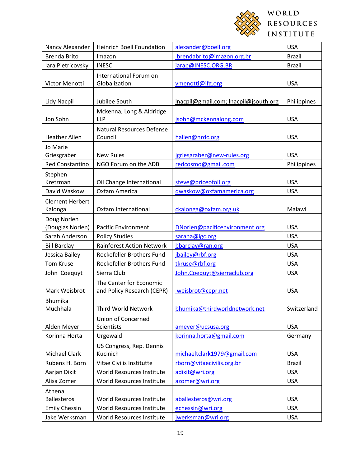

| Nancy Alexander                   | <b>Heinrich Boell Foundation</b>                      | alexander@boell.org                   | <b>USA</b>    |
|-----------------------------------|-------------------------------------------------------|---------------------------------------|---------------|
| <b>Brenda Brito</b>               | Imazon                                                | brendabrito@imazon.org.br             | <b>Brazil</b> |
| lara Pietricovsky                 | <b>INESC</b>                                          | iarap@INESC.ORG.BR                    | <b>Brazil</b> |
| Victor Menotti                    | International Forum on<br>Globalization               | vmenotti@ifg.org                      | <b>USA</b>    |
| Lidy Nacpil                       | Jubilee South                                         | Inacpil@gmail.com; Inacpil@jsouth.org | Philippines   |
| Jon Sohn                          | Mckenna, Long & Aldridge<br><b>LLP</b>                | jsohn@mckennalong.com                 | <b>USA</b>    |
| <b>Heather Allen</b>              | <b>Natural Resources Defense</b><br>Council           | hallen@nrdc.org                       | <b>USA</b>    |
| Jo Marie<br>Griesgraber           | <b>New Rules</b>                                      | jgriesgraber@new-rules.org            | <b>USA</b>    |
| <b>Red Constantino</b>            | NGO Forum on the ADB                                  | redcosmo@gmail.com                    | Philippines   |
| Stephen<br>Kretzman               | Oil Change International                              | steve@priceofoil.org                  | <b>USA</b>    |
| David Waskow                      | Oxfam America                                         | dwaskow@oxfamamerica.org              | <b>USA</b>    |
| <b>Clement Herbert</b><br>Kalonga | Oxfam International                                   | ckalonga@oxfam.org.uk                 | Malawi        |
| Doug Norlen<br>(Douglas Norlen)   | <b>Pacific Environment</b>                            | DNorlen@pacificenvironment.org        | <b>USA</b>    |
| Sarah Anderson                    | <b>Policy Studies</b>                                 | saraha@igc.org                        | <b>USA</b>    |
| <b>Bill Barclay</b>               | <b>Rainforest Action Network</b>                      | bbarclay@ran.org                      | <b>USA</b>    |
| Jessica Bailey                    | Rockefeller Brothers Fund                             | jbailey@rbf.org                       | <b>USA</b>    |
| <b>Tom Kruse</b>                  | Rockefeller Brothers Fund                             | tkruse@rbf.org                        | <b>USA</b>    |
| John Coequyt                      | Sierra Club                                           | John.Coequyt@sierraclub.org           | <b>USA</b>    |
| Mark Weisbrot                     | The Center for Economic<br>and Policy Research (CEPR) | weisbrot@cepr.net                     | <b>USA</b>    |
| <b>Bhumika</b><br>Muchhala        | Third World Network                                   | bhumika@thirdworldnetwork.net         | Switzerland   |
| Alden Meyer                       | Union of Concerned<br><b>Scientists</b>               | ameyer@ucsusa.org                     | <b>USA</b>    |
| Korinna Horta                     | Urgewald                                              | korinna.horta@gmail.com               | Germany       |
| Michael Clark                     | US Congress, Rep. Dennis<br>Kucinich                  | michaeltclark1979@gmail.com           | <b>USA</b>    |
| Rubens H. Born                    | Vitae Civilis Institutte                              | rborn@vitaecivilis.org.br             | <b>Brazil</b> |
| Aarjan Dixit                      | World Resources Institute                             | adixit@wri.org                        | <b>USA</b>    |
| Alisa Zomer                       | World Resources Institute                             | azomer@wri.org                        | <b>USA</b>    |
| Athena<br><b>Ballesteros</b>      | World Resources Institute                             | aballesteros@wri.org                  | <b>USA</b>    |
| <b>Emily Chessin</b>              | World Resources Institute                             | echessin@wri.org                      | <b>USA</b>    |
| Jake Werksman                     | World Resources Institute                             | jwerksman@wri.org                     | <b>USA</b>    |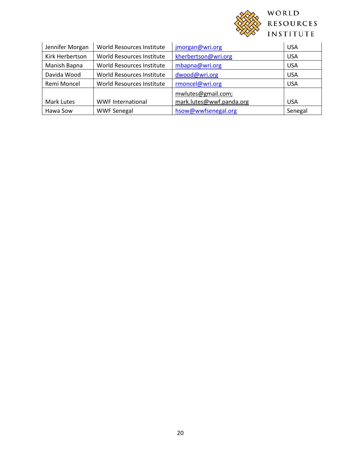

| Jennifer Morgan | World Resources Institute | jmorgan@wri.org          | <b>USA</b> |
|-----------------|---------------------------|--------------------------|------------|
| Kirk Herbertson | World Resources Institute | kherbertson@wri.org      | <b>USA</b> |
| Manish Bapna    | World Resources Institute | mbapna@wri.org           | <b>USA</b> |
| Davida Wood     | World Resources Institute | dwood@wri.org            | <b>USA</b> |
| Remi Moncel     | World Resources Institute | rmoncel@wri.org          | <b>USA</b> |
|                 |                           | mwlutes@gmail.com;       |            |
| Mark Lutes      | <b>WWF International</b>  | mark.lutes@wwf.panda.org | <b>USA</b> |
| Hawa Sow        | <b>WWF Senegal</b>        | hsow@wwfsenegal.org      | Senegal    |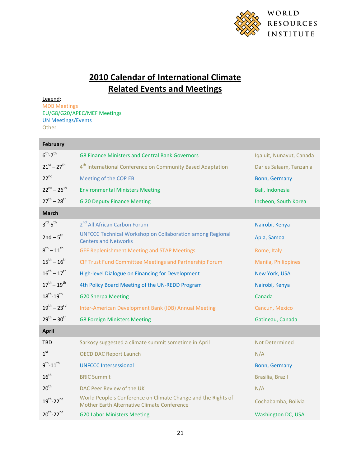

# **2010 Calendar of International Climate Related Events and Meetings**

Legend: MDB Meetings

EU/G8/G20/APEC/MEF Meetings UN Meetings/Events **Other** 

| <b>February</b>                 |                                                                                                              |                          |
|---------------------------------|--------------------------------------------------------------------------------------------------------------|--------------------------|
| $6^{th}$ - $7^{th}$             | G8 Finance Ministers and Central Bank Governors                                                              | Iqaluit, Nunavut, Canada |
| $21^{st} - 27^{th}$             | 4 <sup>th</sup> International Conference on Community Based Adaptation                                       | Dar es Salaam, Tanzania  |
| $22^{nd}$                       | Meeting of the COP EB                                                                                        | Bonn, Germany            |
| $22^{nd} - 26^{th}$             | <b>Environmental Ministers Meeting</b>                                                                       | Bali, Indonesia          |
| $27^{th} - 28^{th}$             | <b>G 20 Deputy Finance Meeting</b>                                                                           | Incheon, South Korea     |
| <b>March</b>                    |                                                                                                              |                          |
| $3^{\text{rd}} - 5^{\text{th}}$ | 2 <sup>nd</sup> All African Carbon Forum                                                                     | Nairobi, Kenya           |
| $2nd - 5th$                     | <b>UNFCCC Technical Workshop on Collaboration among Regional</b><br><b>Centers and Networks</b>              | Apia, Samoa              |
| $8^{th} - 11^{th}$              | <b>GEF Replenishment Meeting and STAP Meetings</b>                                                           | Rome, Italy              |
| $15^{th} - 16^{th}$             | CIF Trust Fund Committee Meetings and Partnership Forum                                                      | Manila, Philippines      |
| $16^{th} - 17^{th}$             | High-level Dialogue on Financing for Development                                                             | New York, USA            |
| $17^{th} - 19^{th}$             | 4th Policy Board Meeting of the UN-REDD Program                                                              | Nairobi, Kenya           |
| $18^{th} - 19^{th}$             | <b>G20 Sherpa Meeting</b>                                                                                    | Canada                   |
| $19^{th} - 23^{rd}$             | Inter-American Development Bank (IDB) Annual Meeting                                                         | Cancun, Mexico           |
| $29^{th} - 30^{th}$             | <b>G8 Foreign Ministers Meeting</b>                                                                          | Gatineau, Canada         |
| <b>April</b>                    |                                                                                                              |                          |
| <b>TBD</b>                      | Sarkosy suggested a climate summit sometime in April                                                         | Not Determined           |
| 1 <sup>st</sup>                 | <b>OECD DAC Report Launch</b>                                                                                | N/A                      |
| $9^{th} - 11^{th}$              | <b>UNFCCC Intersessional</b>                                                                                 | Bonn, Germany            |
| 16 <sup>th</sup>                | <b>BRIC Summit</b>                                                                                           | Brasilia, Brazil         |
| 20 <sup>th</sup>                | DAC Peer Review of the UK                                                                                    | N/A                      |
| $19^{th}$ -22 <sup>nd</sup>     | World People's Conference on Climate Change and the Rights of<br>Mother Earth Alternative Climate Conference | Cochabamba, Bolivia      |
| $20^{th}$ -22 <sup>nd</sup>     | <b>G20 Labor Ministers Meeting</b>                                                                           | Washington DC, USA       |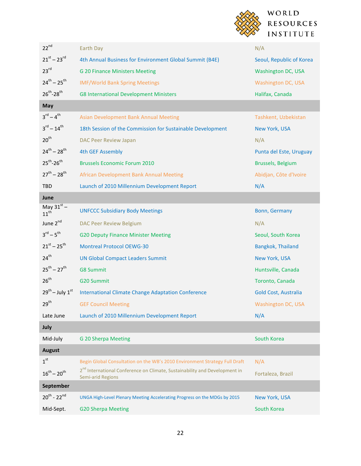

| $22^{nd}$                           | <b>Earth Day</b>                                                                                                   | N/A                       |
|-------------------------------------|--------------------------------------------------------------------------------------------------------------------|---------------------------|
| $21^{st} - 23^{rd}$                 | 4th Annual Business for Environment Global Summit (B4E)                                                            | Seoul, Republic of Korea  |
| 23 <sup>rd</sup>                    | <b>G 20 Finance Ministers Meeting</b>                                                                              | <b>Washington DC, USA</b> |
| $24^{th} - 25^{th}$                 | <b>IMF/World Bank Spring Meetings</b>                                                                              | Washington DC, USA        |
| $26^{th} - 28^{th}$                 | <b>G8 International Development Ministers</b>                                                                      | Halifax, Canada           |
| May                                 |                                                                                                                    |                           |
| $3^{rd} - 4^{th}$                   | <b>Asian Development Bank Annual Meeting</b>                                                                       | Tashkent, Uzbekistan      |
| $3^{\text{rd}} - 14^{\text{th}}$    | 18th Session of the Commission for Sustainable Development                                                         | New York, USA             |
| 20 <sup>th</sup>                    | <b>DAC Peer Review Japan</b>                                                                                       | N/A                       |
| $24^{th} - 28^{th}$                 | <b>4th GEF Assembly</b>                                                                                            | Punta del Este, Uruguay   |
| $25^{th} - 26^{th}$                 | <b>Brussels Economic Forum 2010</b>                                                                                | Brussels, Belgium         |
| $27^{th} - 28^{th}$                 | African Development Bank Annual Meeting                                                                            | Abidjan, Côte d'Ivoire    |
| <b>TBD</b>                          | Launch of 2010 Millennium Development Report                                                                       | N/A                       |
| June                                |                                                                                                                    |                           |
| May $31^{st}$ –<br>11 <sup>th</sup> | <b>UNFCCC Subsidiary Body Meetings</b>                                                                             | Bonn, Germany             |
| June 2 <sup>nd</sup>                | <b>DAC Peer Review Belgium</b>                                                                                     | N/A                       |
| $3^{\text{rd}} - 5^{\text{th}}$     | <b>G20 Deputy Finance Minister Meeting</b>                                                                         | Seoul, South Korea        |
| $21^{st} - 25^{th}$                 | <b>Montreal Protocol OEWG-30</b>                                                                                   | Bangkok, Thailand         |
| 24 <sup>th</sup>                    | <b>UN Global Compact Leaders Summit</b>                                                                            | New York, USA             |
| $25^{th} - 27^{th}$                 | <b>G8 Summit</b>                                                                                                   | Huntsville, Canada        |
| 26 <sup>th</sup>                    | <b>G20 Summit</b>                                                                                                  | Toronto, Canada           |
| $29^{th}$ – July $1^{st}$           | <b>International Climate Change Adaptation Conference</b>                                                          | Gold Cost, Australia      |
| 29 <sup>th</sup>                    | <b>GEF Council Meeting</b>                                                                                         | Washington DC, USA        |
| Late June                           | Launch of 2010 Millennium Development Report                                                                       | N/A                       |
| July                                |                                                                                                                    |                           |
| Mid-July                            | <b>G 20 Sherpa Meeting</b>                                                                                         | South Korea               |
| <b>August</b>                       |                                                                                                                    |                           |
| 1 <sup>st</sup>                     | Begin Global Consultation on the WB's 2010 Environment Strategy Full Draft                                         | N/A                       |
| $16^{th} - 20^{th}$                 | 2 <sup>nd</sup> International Conference on Climate, Sustainability and Development in<br><b>Semi-arid Regions</b> | Fortaleza, Brazil         |
| September                           |                                                                                                                    |                           |
| $20^{th}$ - $22^{nd}$               | UNGA High-Level Plenary Meeting Accelerating Progress on the MDGs by 2015                                          | New York, USA             |
| Mid-Sept.                           | <b>G20 Sherpa Meeting</b>                                                                                          | South Korea               |